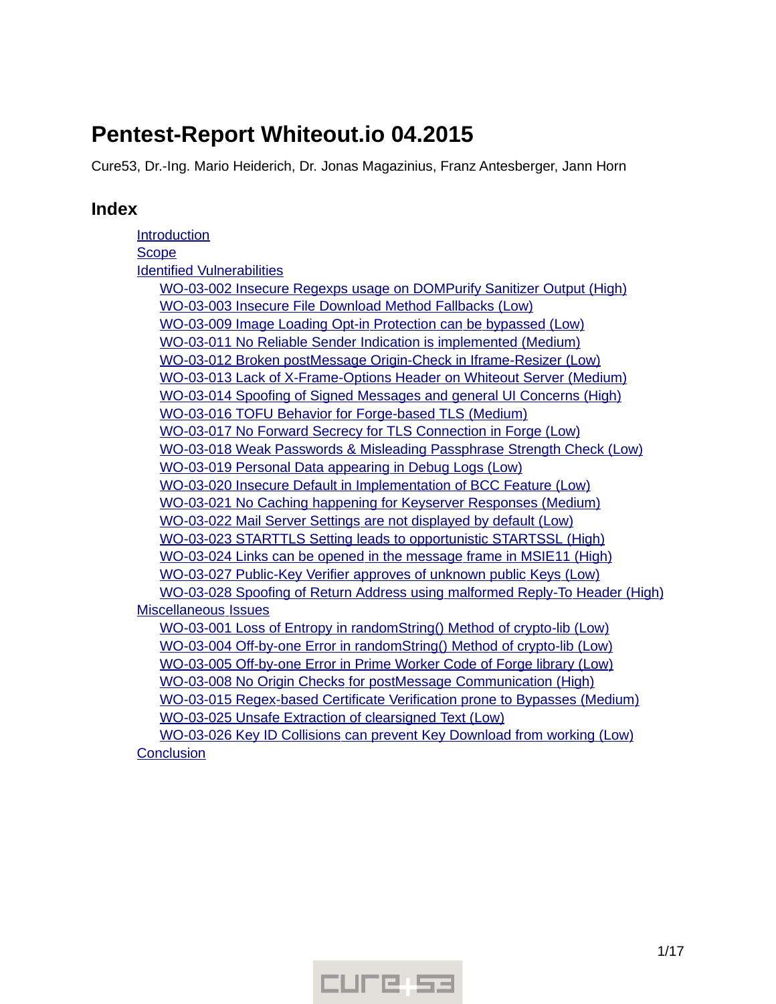# **Pentest-Report Whiteout.io 04.2015**

Cure53, Dr.-Ing. Mario Heiderich, Dr. Jonas Magazinius, Franz Antesberger, Jann Horn

# **Index**

[Introduction](#page-1-0) **[Scope](#page-1-1)**  [Identified](#page-2-1) [Vulnerabilities](#page-2-1) WO-03-002 Insecure Regexps usage on DOMPurify Sanitizer Output (High) WO-03-003 Insecure File Download Method Fallbacks (Low) WO-03-009 Image Loading Opt-in Protection can be bypassed (Low) WO-03-011 No Reliable Sender Indication is implemented (Medium) WO-03-012 Broken postMessage Origin-Check in Iframe-Resizer (Low) WO-03-013 Lack of X-Frame-Options Header on Whiteout Server (Medium) WO-03-014 Spoofing of Signed Messages and general UI Concerns (High) WO-03-016 TOFU Behavior for Forge-based TLS (Medium) WO-03-017 No Forward Secrecy for TLS Connection in Forge (Low)  [WO -03-018 Weak Passwords & Misleading Passphrase Strength Check \( Low\)](#page-7-0) WO-03-019 Personal Data appearing in Debug Logs (Low) WO-03-020 Insecure Default in Implementation of BCC Feature (Low) WO-03-021 No Caching happening for Keyserver Responses (Medium) WO-03-022 Mail Server Settings are not displayed by default (Low)  [WO -03-023 STARTTLS Setting leads to opportunistic STARTSSL \( High\)](#page-9-0) WO-03-024 Links can be opened in the message frame in MSIE11 (High) WO-03-027 Public-Key Verifier approves of unknown public Keys (Low) WO-03-028 Spoofing of Return Address using malformed Reply-To Header (High)  [Miscellaneous](#page-12-2) [Issues](#page-12-2) WO-03-001 Loss of Entropy in randomString() Method of crypto-lib (Low) WO-03-004 Off-by-one Error in randomString () Method of crypto-lib (Low) WO-03-005 Off-by-one Error in Prime Worker Code of Forge library (Low)  [WO -03-008 No Origin Checks for postMessage Communication \( High\)](#page-13-0) WO-03-015 Regex-based Certificate Verification prone to Bypasses (Medium) WO-03-025 Unsafe Extraction of clearsigned Text (Low) WO-03-026 Key ID Collisions can prevent Key Download from working (Low) **[Conclusion](#page-16-0)** 

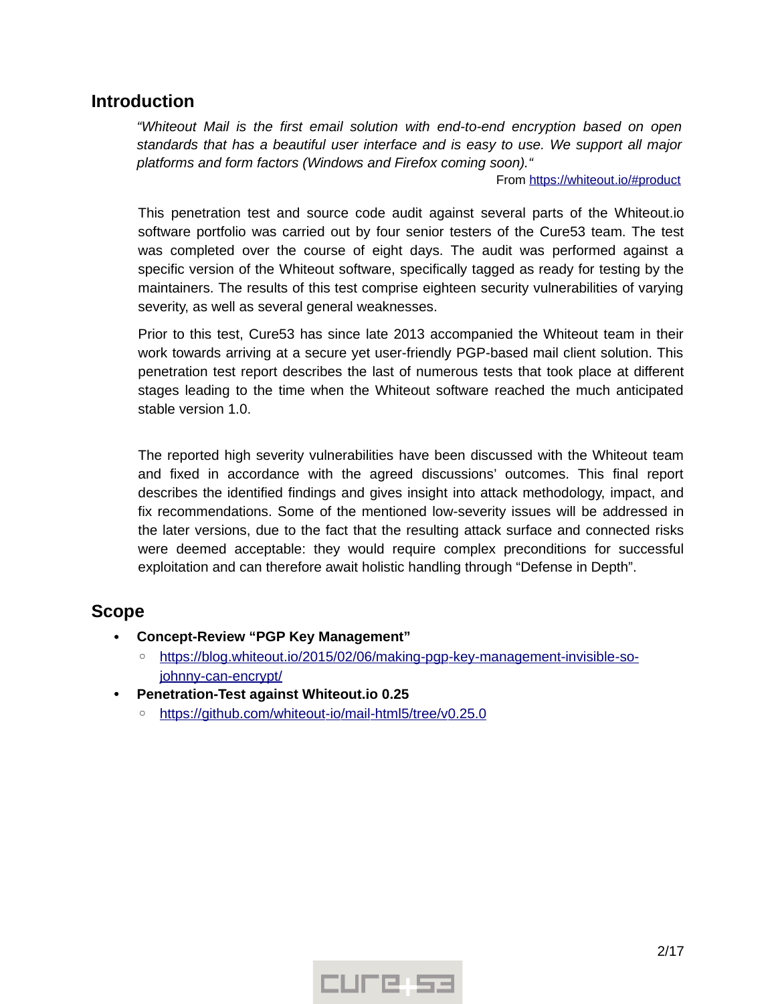# <span id="page-1-0"></span>**Introduction**

*"Whiteout Mail is the first email solution with end-to-end encryption based on open standards that has a beautiful user interface and is easy to use. We support all major platforms and form factors (Windows and Firefox coming soon)."*

From https://whiteout.io/#product

This penetration test and source code audit against several parts of the Whiteout.io software portfolio was carried out by four senior testers of the Cure53 team. The test was completed over the course of eight days. The audit was performed against a specific version of the Whiteout software, specifically tagged as ready for testing by the maintainers. The results of this test comprise eighteen security vulnerabilities of varying severity, as well as several general weaknesses.

Prior to this test, Cure53 has since late 2013 accompanied the Whiteout team in their work towards arriving at a secure yet user-friendly PGP-based mail client solution. This penetration test report describes the last of numerous tests that took place at different stages leading to the time when the Whiteout software reached the much anticipated stable version 1.0.

The reported high severity vulnerabilities have been discussed with the Whiteout team and fixed in accordance with the agreed discussions' outcomes. This final report describes the identified findings and gives insight into attack methodology, impact, and fix recommendations. Some of the mentioned low-severity issues will be addressed in the later versions, due to the fact that the resulting attack surface and connected risks were deemed acceptable: they would require complex preconditions for successful exploitation and can therefore await holistic handling through "Defense in Depth".

# <span id="page-1-1"></span>**Scope**

- **Concept-Review "PGP Key Management"**
	- ◦ [https :// blog. whiteout. io /2015/02/06/ making pgp key management invisible so](https://blog.whiteout.io/2015/02/06/making-pgp-key-management-invisible-so-johnny-can-encrypt/) johnny-can-encrypt/
- **Penetration-Test against Whiteout.io 0.25**
	- ◦ [https :// github. com/ whiteout io/ mail html 5/ tree/ v0.25.0](https://github.com/whiteout-io/mail-html5/tree/v0.25.0)

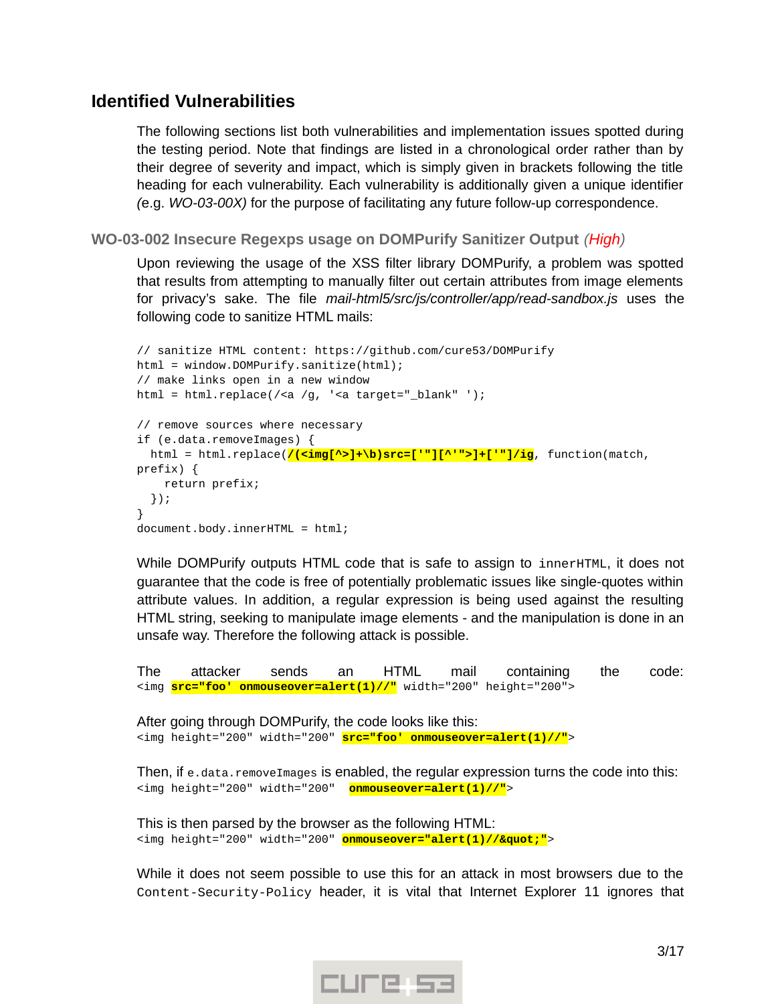# <span id="page-2-1"></span>**Identified Vulnerabilities**

The following sections list both vulnerabilities and implementation issues spotted during the testing period. Note that findings are listed in a chronological order rather than by their degree of severity and impact, which is simply given in brackets following the title heading for each vulnerability. Each vulnerability is additionally given a unique identifier *(*e.g. *WO-03-00X)* for the purpose of facilitating any future follow-up correspondence.

<span id="page-2-0"></span>**WO-03-002 Insecure Regexps usage on DOMPurify Sanitizer Output** *(High)*

Upon reviewing the usage of the XSS filter library DOMPurify, a problem was spotted that results from attempting to manually filter out certain attributes from image elements for privacy's sake. The file *mail-html5/src/js/controller/app/read-sandbox.js* uses the following code to sanitize HTML mails:

```
// sanitize HTML content: https://github.com/cure53/DOMPurify
html = window.DOMPurify.sanitize(html);
// make links open in a new window
html = html.replace(/<a /q, '<a target=" blank" ');
// remove sources where necessary
if (e.data.removeImages) {
   html = html.replace(/(<img[^>]+\b)src=['"][^'">]+['"]/ig, function(match, 
prefix) {
     return prefix;
   });
}
document.body.innerHTML = html;
```
While DOMPurify outputs HTML code that is safe to assign to innerHTML, it does not guarantee that the code is free of potentially problematic issues like single-quotes within attribute values. In addition, a regular expression is being used against the resulting HTML string, seeking to manipulate image elements - and the manipulation is done in an unsafe way. Therefore the following attack is possible.

The attacker sends an HTML mail containing the code: <img **src="foo' onmouseover=alert(1)//"** width="200" height="200">

After going through DOMPurify, the code looks like this: <img height="200" width="200" **src="foo' onmouseover=alert(1)//"**>

Then, if e.data.removeImages is enabled, the regular expression turns the code into this: <img height="200" width="200" **onmouseover=alert(1)//"**>

This is then parsed by the browser as the following HTML: <img height="200" width="200" **onmouseover="alert(1)//""**>

While it does not seem possible to use this for an attack in most browsers due to the Content-Security-Policy header, it is vital that Internet Explorer 11 ignores that

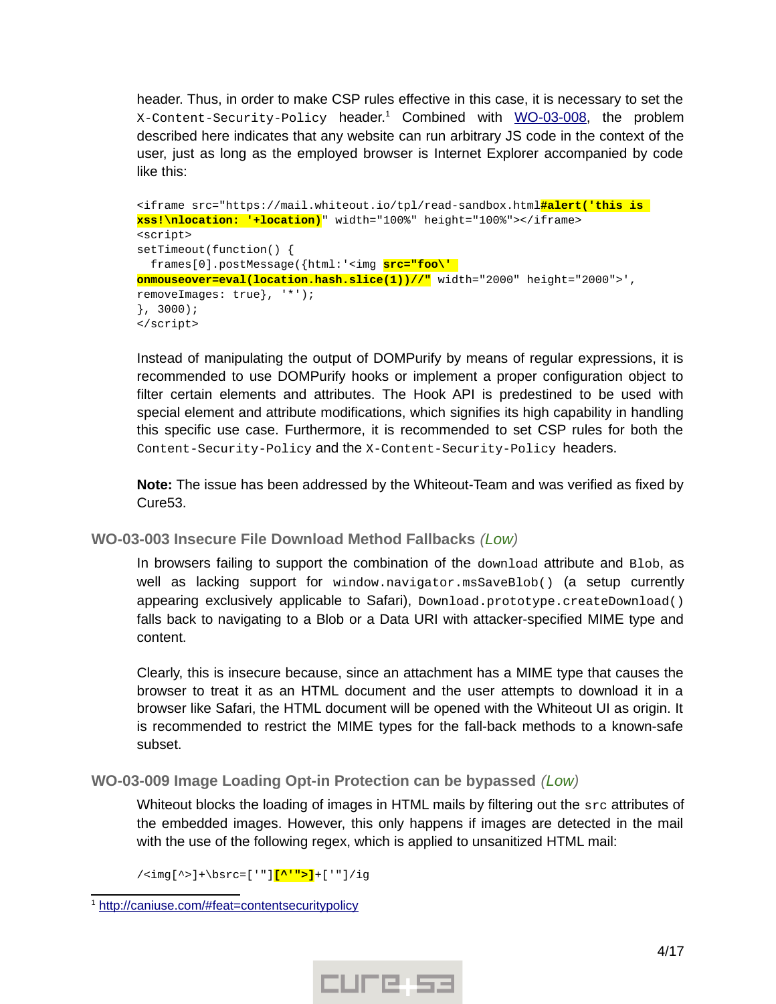header. Thus, in order to make CSP rules effective in this case, it is necessary to set the X-Content-Security-Policy header.<sup>[1](#page-3-2)</sup> Combined with <u>WO-03-008</u>, the problem described here indicates that any website can run arbitrary JS code in the context of the user, just as long as the employed browser is Internet Explorer accompanied by code like this:

```
<iframe src="https://mail.whiteout.io/tpl/read-sandbox.html#alert('this is 
xss!\nlocation: '+location)" width="100%" height="100%"></iframe>
<script>
setTimeout(function() {
   frames[0].postMessage({html:'<img src="foo\' 
onmouseover=eval(location.hash.slice(1))//" width="2000" height="2000">', 
removeImages: true}, '*');
}, 3000);
</script>
```
Instead of manipulating the output of DOMPurify by means of regular expressions, it is recommended to use DOMPurify hooks or implement a proper configuration object to filter certain elements and attributes. The Hook API is predestined to be used with special element and attribute modifications, which signifies its high capability in handling this specific use case. Furthermore, it is recommended to set CSP rules for both the Content-Security-Policy and the X-Content-Security-Policy headers.

**Note:** The issue has been addressed by the Whiteout-Team and was verified as fixed by Cure53.

# <span id="page-3-1"></span>**WO-03-003 Insecure File Download Method Fallbacks** *(Low)*

In browsers failing to support the combination of the download attribute and Blob, as well as lacking support for window.navigator.msSaveBlob() (a setup currently appearing exclusively applicable to Safari), Download.prototype.createDownload() falls back to navigating to a Blob or a Data URI with attacker-specified MIME type and content.

Clearly, this is insecure because, since an attachment has a MIME type that causes the browser to treat it as an HTML document and the user attempts to download it in a browser like Safari, the HTML document will be opened with the Whiteout UI as origin. It is recommended to restrict the MIME types for the fall-back methods to a known-safe subset.

# <span id="page-3-0"></span>**WO-03-009 Image Loading Opt-in Protection can be bypassed** *(Low)*

Whiteout blocks the loading of images in HTML mails by filtering out the src attributes of the embedded images. However, this only happens if images are detected in the mail with the use of the following regex, which is applied to unsanitized HTML mail:

/<img[^>]+\bsrc=['"]**[^'">]**+['"]/ig



<span id="page-3-2"></span><sup>&</sup>lt;sup>1</sup> http://caniuse.com/#feat=contentsecuritypolicy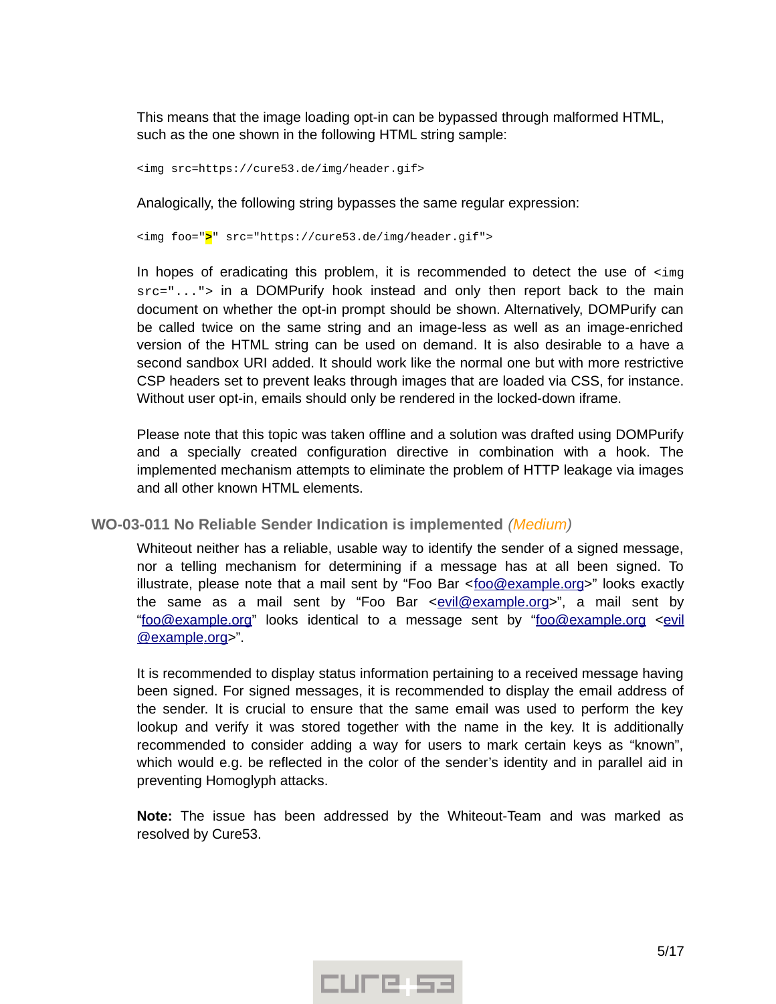This means that the image loading opt-in can be bypassed through malformed HTML, such as the one shown in the following HTML string sample:

<img src=https://cure53.de/img/header.gif>

Analogically, the following string bypasses the same regular expression:

<img foo="**>**" src="https://cure53.de/img/header.gif">

In hopes of eradicating this problem, it is recommended to detect the use of  $\leq$ ing src="..."> in a DOMPurify hook instead and only then report back to the main document on whether the opt-in prompt should be shown. Alternatively, DOMPurify can be called twice on the same string and an image-less as well as an image-enriched version of the HTML string can be used on demand. It is also desirable to a have a second sandbox URI added. It should work like the normal one but with more restrictive CSP headers set to prevent leaks through images that are loaded via CSS, for instance. Without user opt-in, emails should only be rendered in the locked-down iframe.

Please note that this topic was taken offline and a solution was drafted using DOMPurify and a specially created configuration directive in combination with a hook. The implemented mechanism attempts to eliminate the problem of HTTP leakage via images and all other known HTML elements.

<span id="page-4-0"></span>**WO-03-011 No Reliable Sender Indication is implemented** *(Medium)*

Whiteout neither has a reliable, usable way to identify the sender of a signed message, nor a telling mechanism for determining if a message has at all been signed. To illustrate, please note that a mail sent by "Foo Bar <foo@example.org>" looks exactly the same as a mail sent by "Foo Bar < $e$ vil@ example.org>", a mail sent by " foo@example.org" looks identical to a message sent by " foo@example.org [<evil](mailto:evil@example.org)  [@ example.org>](mailto:evil@example.org)".

It is recommended to display status information pertaining to a received message having been signed. For signed messages, it is recommended to display the email address of the sender. It is crucial to ensure that the same email was used to perform the key lookup and verify it was stored together with the name in the key. It is additionally recommended to consider adding a way for users to mark certain keys as "known", which would e.g. be reflected in the color of the sender's identity and in parallel aid in preventing Homoglyph attacks.

**Note:** The issue has been addressed by the Whiteout-Team and was marked as resolved by Cure53.

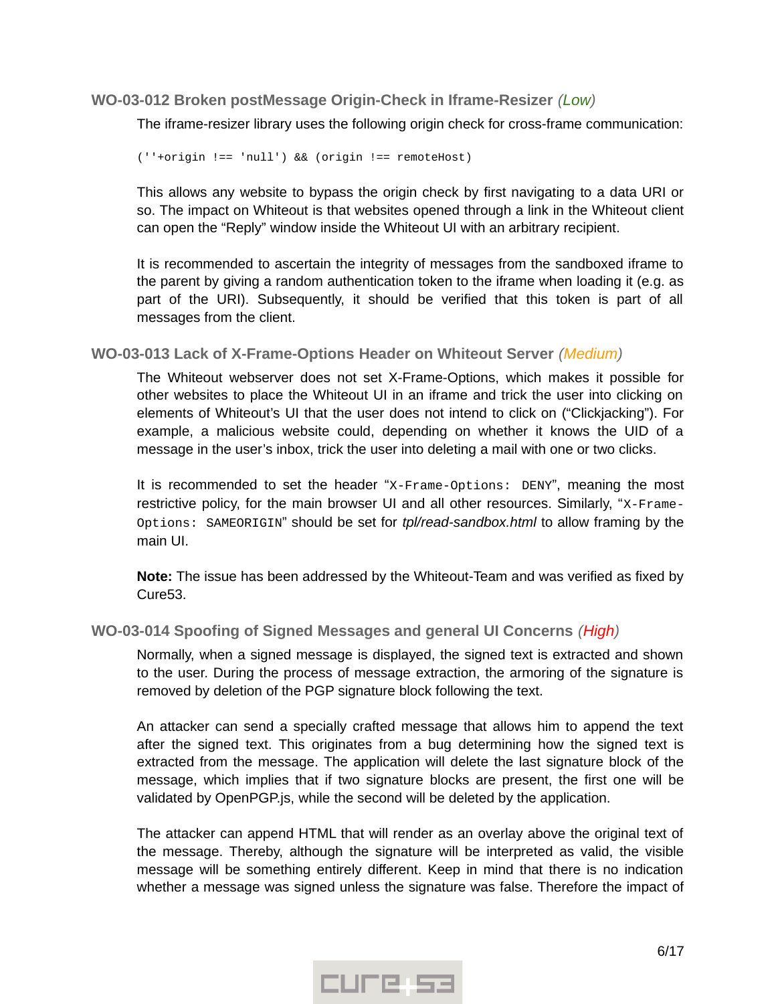#### <span id="page-5-2"></span>**WO-03-012 Broken postMessage Origin-Check in Iframe-Resizer** *(Low)*

The iframe-resizer library uses the following origin check for cross-frame communication:

(''+origin !== 'null') && (origin !== remoteHost)

This allows any website to bypass the origin check by first navigating to a data URI or so. The impact on Whiteout is that websites opened through a link in the Whiteout client can open the "Reply" window inside the Whiteout UI with an arbitrary recipient.

It is recommended to ascertain the integrity of messages from the sandboxed iframe to the parent by giving a random authentication token to the iframe when loading it (e.g. as part of the URI). Subsequently, it should be verified that this token is part of all messages from the client.

<span id="page-5-1"></span>**WO-03-013 Lack of X-Frame-Options Header on Whiteout Server** *(Medium)*

The Whiteout webserver does not set X-Frame-Options, which makes it possible for other websites to place the Whiteout UI in an iframe and trick the user into clicking on elements of Whiteout's UI that the user does not intend to click on ("Clickjacking"). For example, a malicious website could, depending on whether it knows the UID of a message in the user's inbox, trick the user into deleting a mail with one or two clicks.

It is recommended to set the header "X-Frame-Options: DENY", meaning the most restrictive policy, for the main browser UI and all other resources. Similarly, "X-Frame-Options: SAMEORIGIN" should be set for *tpl/read-sandbox.html* to allow framing by the main UI.

**Note:** The issue has been addressed by the Whiteout-Team and was verified as fixed by Cure53.

#### <span id="page-5-0"></span>**WO-03-014 Spoofing of Signed Messages and general UI Concerns** *(High)*

Normally, when a signed message is displayed, the signed text is extracted and shown to the user. During the process of message extraction, the armoring of the signature is removed by deletion of the PGP signature block following the text.

An attacker can send a specially crafted message that allows him to append the text after the signed text. This originates from a bug determining how the signed text is extracted from the message. The application will delete the last signature block of the message, which implies that if two signature blocks are present, the first one will be validated by OpenPGP.js, while the second will be deleted by the application.

The attacker can append HTML that will render as an overlay above the original text of the message. Thereby, although the signature will be interpreted as valid, the visible message will be something entirely different. Keep in mind that there is no indication whether a message was signed unless the signature was false. Therefore the impact of

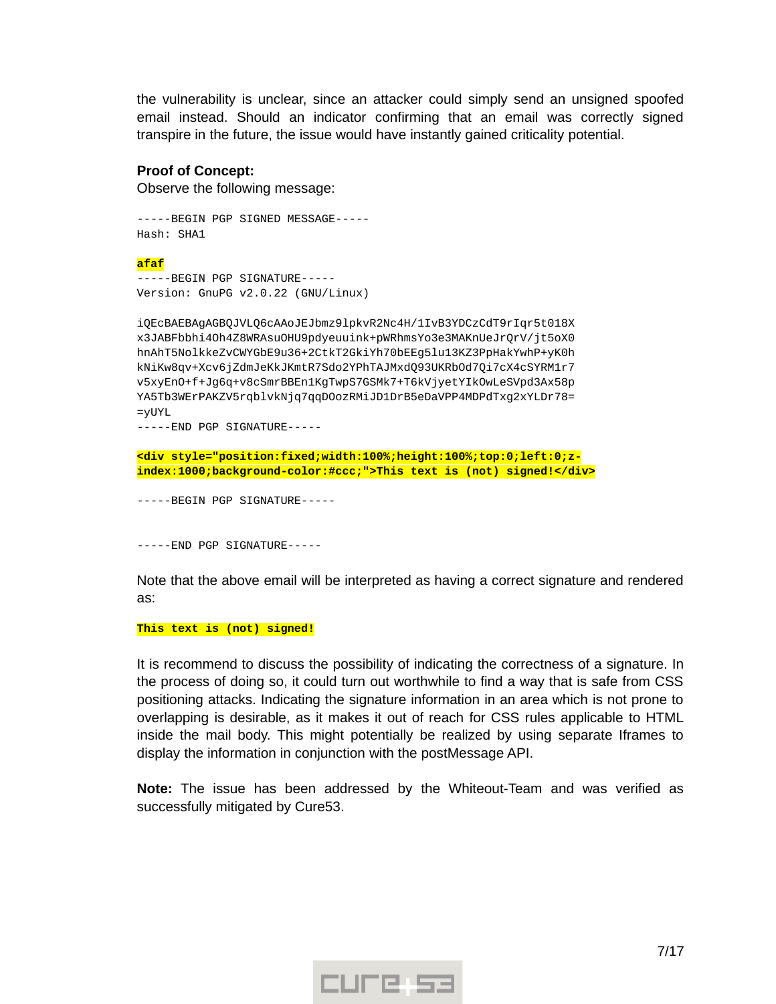the vulnerability is unclear, since an attacker could simply send an unsigned spoofed email instead. Should an indicator confirming that an email was correctly signed transpire in the future, the issue would have instantly gained criticality potential.

#### **Proof of Concept:**

Observe the following message:

-----BEGIN PGP SIGNED MESSAGE----- Hash: SHA1

#### **afaf**

-----BEGIN PGP SIGNATURE----- Version: GnuPG v2.0.22 (GNU/Linux)

iQEcBAEBAgAGBQJVLQ6cAAoJEJbmz9lpkvR2Nc4H/1IvB3YDCzCdT9rIqr5t018X x3JABFbbhi4Oh4Z8WRAsuOHU9pdyeuuink+pWRhmsYo3e3MAKnUeJrQrV/jt5oX0 hnAhT5NolkkeZvCWYGbE9u36+2CtkT2GkiYh70bEEg5lu13KZ3PpHakYwhP+yK0h kNiKw8qv+Xcv6jZdmJeKkJKmtR7Sdo2YPhTAJMxdQ93UKRbOd7Qi7cX4cSYRM1r7 v5xyEnO+f+Jg6q+v8cSmrBBEn1KgTwpS7GSMk7+T6kVjyetYIkOwLeSVpd3Ax58p YA5Tb3WErPAKZV5rqblvkNjq7qqDOozRMiJD1DrB5eDaVPP4MDPdTxg2xYLDr78= =yUYL

-----END PGP SIGNATURE-----

**<div style="position:fixed;width:100%;height:100%;top:0;left:0;zindex:1000;background-color:#ccc;">This text is (not) signed!</div>**

-----BEGIN PGP SIGNATURE-----

-----END PGP SIGNATURE-----

Note that the above email will be interpreted as having a correct signature and rendered as:

#### **This text is (not) signed!**

It is recommend to discuss the possibility of indicating the correctness of a signature. In the process of doing so, it could turn out worthwhile to find a way that is safe from CSS positioning attacks. Indicating the signature information in an area which is not prone to overlapping is desirable, as it makes it out of reach for CSS rules applicable to HTML inside the mail body. This might potentially be realized by using separate Iframes to display the information in conjunction with the postMessage API.

**Note:** The issue has been addressed by the Whiteout-Team and was verified as successfully mitigated by Cure53.

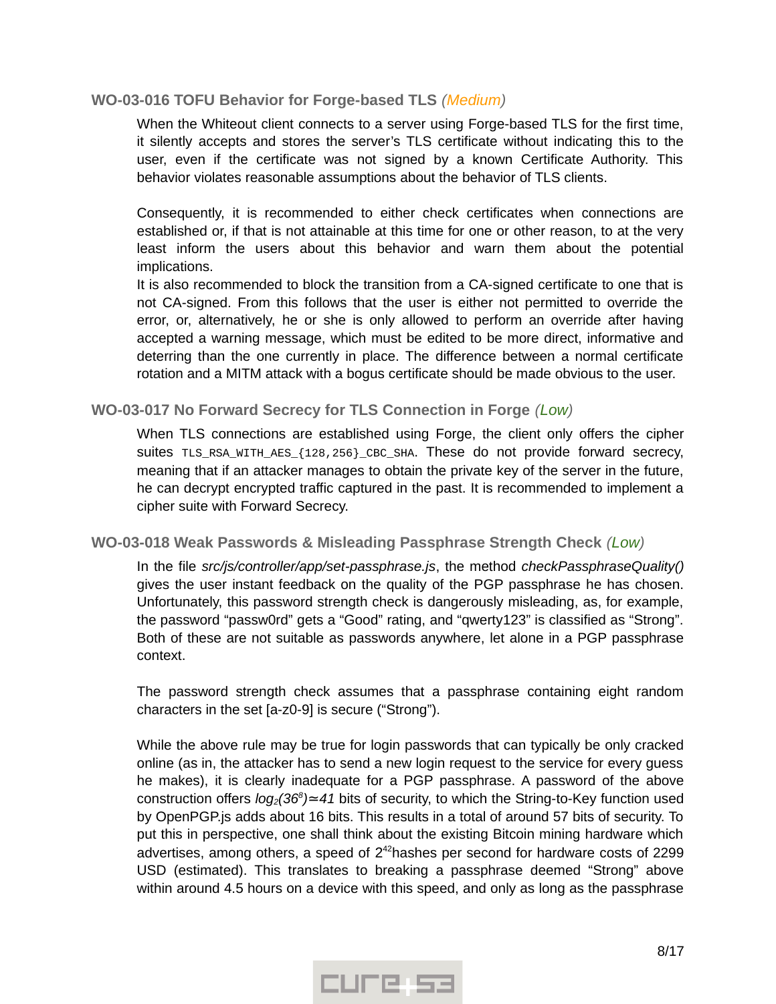#### <span id="page-7-2"></span>**WO-03-016 TOFU Behavior for Forge-based TLS** *(Medium)*

When the Whiteout client connects to a server using Forge-based TLS for the first time, it silently accepts and stores the server's TLS certificate without indicating this to the user, even if the certificate was not signed by a known Certificate Authority. This behavior violates reasonable assumptions about the behavior of TLS clients.

Consequently, it is recommended to either check certificates when connections are established or, if that is not attainable at this time for one or other reason, to at the very least inform the users about this behavior and warn them about the potential implications.

It is also recommended to block the transition from a CA-signed certificate to one that is not CA-signed. From this follows that the user is either not permitted to override the error, or, alternatively, he or she is only allowed to perform an override after having accepted a warning message, which must be edited to be more direct, informative and deterring than the one currently in place. The difference between a normal certificate rotation and a MITM attack with a bogus certificate should be made obvious to the user.

#### <span id="page-7-1"></span>**WO-03-017 No Forward Secrecy for TLS Connection in Forge** *(Low)*

When TLS connections are established using Forge, the client only offers the cipher suites TLS\_RSA\_WITH\_AES\_{128,256}\_CBC\_SHA. These do not provide forward secrecy, meaning that if an attacker manages to obtain the private key of the server in the future, he can decrypt encrypted traffic captured in the past. It is recommended to implement a cipher suite with Forward Secrecy.

#### <span id="page-7-0"></span>**WO-03-018 Weak Passwords & Misleading Passphrase Strength Check** *(Low)*

In the file *src/js/controller/app/set-passphrase.js*, the method *checkPassphraseQuality()* gives the user instant feedback on the quality of the PGP passphrase he has chosen. Unfortunately, this password strength check is dangerously misleading, as, for example, the password "passw0rd" gets a "Good" rating, and "qwerty123" is classified as "Strong". Both of these are not suitable as passwords anywhere, let alone in a PGP passphrase context.

The password strength check assumes that a passphrase containing eight random characters in the set [a-z0-9] is secure ("Strong").

While the above rule may be true for login passwords that can typically be only cracked online (as in, the attacker has to send a new login request to the service for every guess he makes), it is clearly inadequate for a PGP passphrase. A password of the above construction offers *log<sub>2</sub>*(36<sup>8</sup>)≃41 bits of security, to which the String-to-Key function used by OpenPGP.js adds about 16 bits. This results in a total of around 57 bits of security. To put this in perspective, one shall think about the existing Bitcoin mining hardware which advertises, among others, a speed of  $2^{42}$ hashes per second for hardware costs of 2299 USD (estimated). This translates to breaking a passphrase deemed "Strong" above within around 4.5 hours on a device with this speed, and only as long as the passphrase

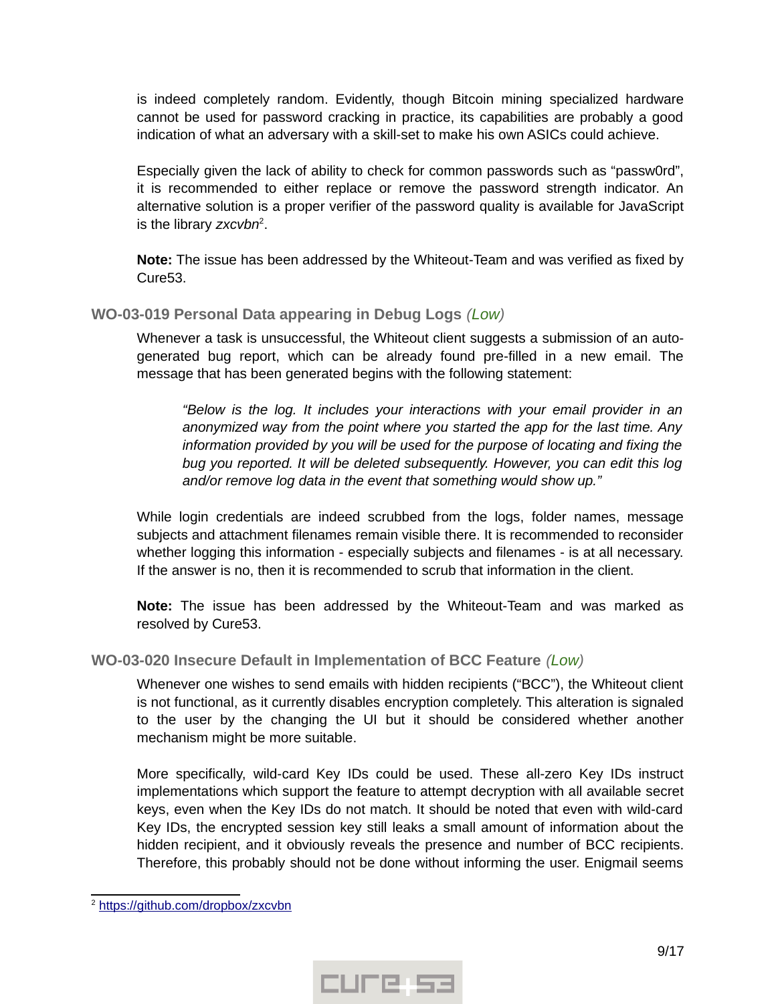is indeed completely random. Evidently, though Bitcoin mining specialized hardware cannot be used for password cracking in practice, its capabilities are probably a good indication of what an adversary with a skill-set to make his own ASICs could achieve.

Especially given the lack of ability to check for common passwords such as "passw0rd", it is recommended to either replace or remove the password strength indicator. An alternative solution is a proper verifier of the password quality is available for JavaScript is the library zxcvbn<sup>[2](#page-8-2)</sup>.

**Note:** The issue has been addressed by the Whiteout-Team and was verified as fixed by Cure53.

#### <span id="page-8-1"></span>**WO-03-019 Personal Data appearing in Debug Logs** *(Low)*

Whenever a task is unsuccessful, the Whiteout client suggests a submission of an autogenerated bug report, which can be already found pre-filled in a new email. The message that has been generated begins with the following statement:

*"Below is the log. It includes your interactions with your email provider in an anonymized way from the point where you started the app for the last time. Any information provided by you will be used for the purpose of locating and fixing the bug you reported. It will be deleted subsequently. However, you can edit this log and/or remove log data in the event that something would show up."*

While login credentials are indeed scrubbed from the logs, folder names, message subjects and attachment filenames remain visible there. It is recommended to reconsider whether logging this information - especially subjects and filenames - is at all necessary. If the answer is no, then it is recommended to scrub that information in the client.

**Note:** The issue has been addressed by the Whiteout-Team and was marked as resolved by Cure53.

# <span id="page-8-0"></span>**WO-03-020 Insecure Default in Implementation of BCC Feature** *(Low)*

Whenever one wishes to send emails with hidden recipients ("BCC"), the Whiteout client is not functional, as it currently disables encryption completely. This alteration is signaled to the user by the changing the UI but it should be considered whether another mechanism might be more suitable.

More specifically, wild-card Key IDs could be used. These all-zero Key IDs instruct implementations which support the feature to attempt decryption with all available secret keys, even when the Key IDs do not match. It should be noted that even with wild-card Key IDs, the encrypted session key still leaks a small amount of information about the hidden recipient, and it obviously reveals the presence and number of BCC recipients. Therefore, this probably should not be done without informing the user. Enigmail seems



<span id="page-8-2"></span><sup>&</sup>lt;sup>2</sup> https://github.com/dropbox/zxcvbn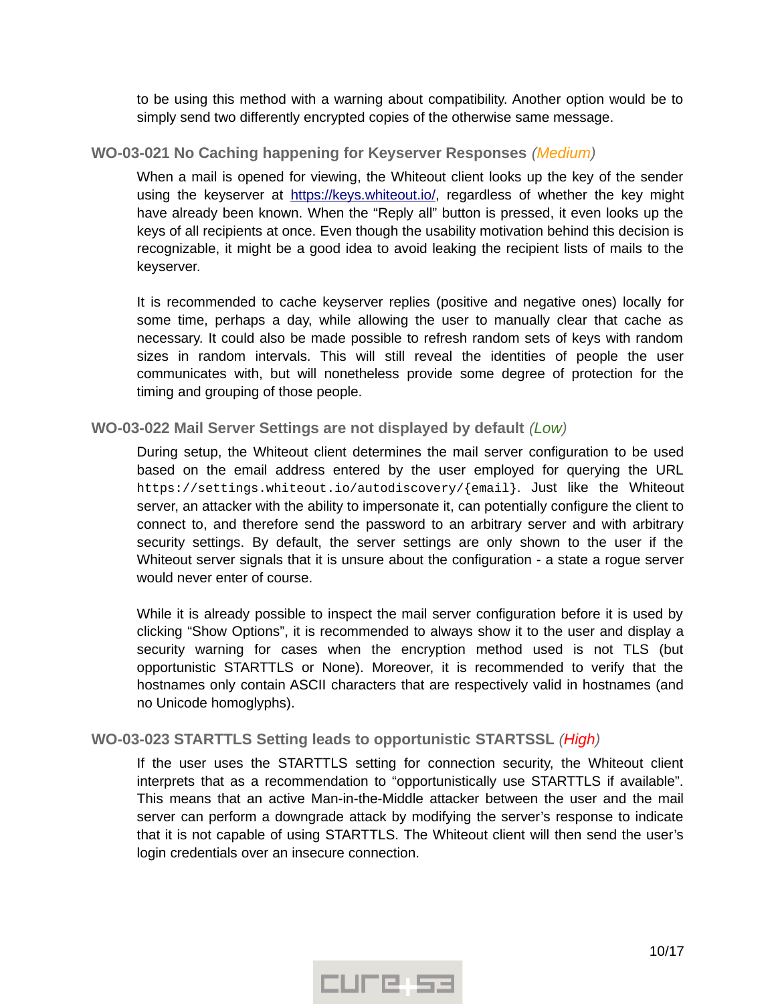to be using this method with a warning about compatibility. Another option would be to simply send two differently encrypted copies of the otherwise same message.

## <span id="page-9-2"></span>**WO-03-021 No Caching happening for Keyserver Responses** *(Medium)*

When a mail is opened for viewing, the Whiteout client looks up the key of the sender using the keyserver at https://keys.whiteout.io/, regardless of whether the key might have already been known. When the "Reply all" button is pressed, it even looks up the keys of all recipients at once. Even though the usability motivation behind this decision is recognizable, it might be a good idea to avoid leaking the recipient lists of mails to the keyserver.

It is recommended to cache keyserver replies (positive and negative ones) locally for some time, perhaps a day, while allowing the user to manually clear that cache as necessary. It could also be made possible to refresh random sets of keys with random sizes in random intervals. This will still reveal the identities of people the user communicates with, but will nonetheless provide some degree of protection for the timing and grouping of those people.

## <span id="page-9-1"></span>**WO-03-022 Mail Server Settings are not displayed by default** *(Low)*

During setup, the Whiteout client determines the mail server configuration to be used based on the email address entered by the user employed for querying the URL https://settings.whiteout.io/autodiscovery/{email}. Just like the Whiteout server, an attacker with the ability to impersonate it, can potentially configure the client to connect to, and therefore send the password to an arbitrary server and with arbitrary security settings. By default, the server settings are only shown to the user if the Whiteout server signals that it is unsure about the configuration - a state a rogue server would never enter of course.

While it is already possible to inspect the mail server configuration before it is used by clicking "Show Options", it is recommended to always show it to the user and display a security warning for cases when the encryption method used is not TLS (but opportunistic STARTTLS or None). Moreover, it is recommended to verify that the hostnames only contain ASCII characters that are respectively valid in hostnames (and no Unicode homoglyphs).

# <span id="page-9-0"></span>**WO-03-023 STARTTLS Setting leads to opportunistic STARTSSL** *(High)*

If the user uses the STARTTLS setting for connection security, the Whiteout client interprets that as a recommendation to "opportunistically use STARTTLS if available". This means that an active Man-in-the-Middle attacker between the user and the mail server can perform a downgrade attack by modifying the server's response to indicate that it is not capable of using STARTTLS. The Whiteout client will then send the user's login credentials over an insecure connection.

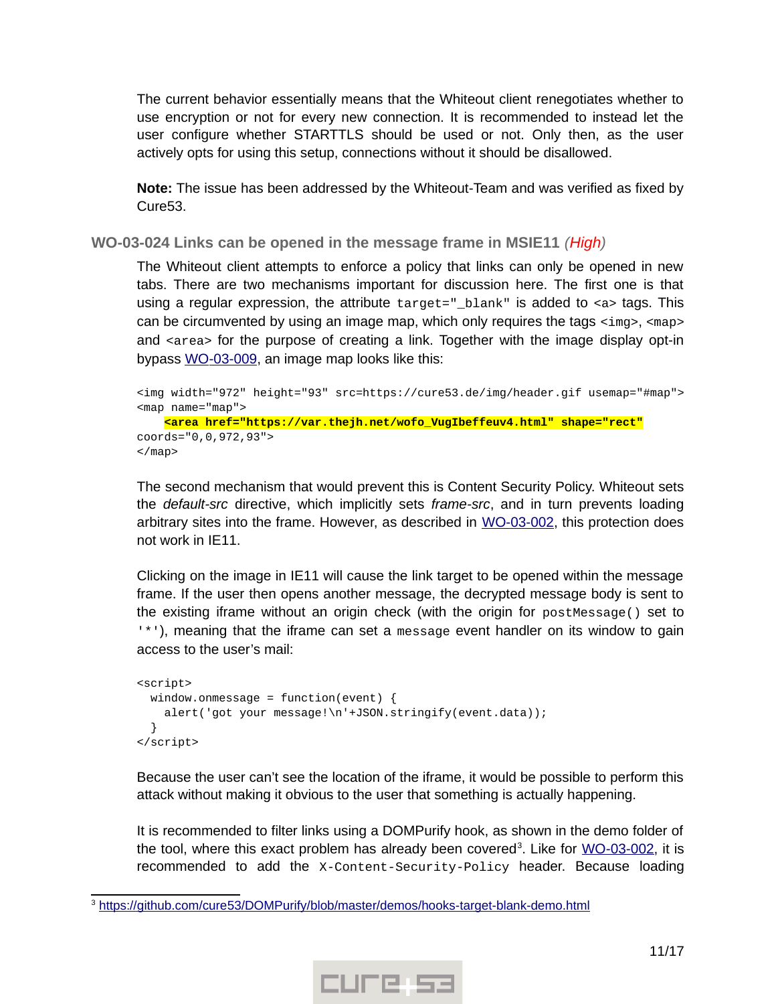The current behavior essentially means that the Whiteout client renegotiates whether to use encryption or not for every new connection. It is recommended to instead let the user configure whether STARTTLS should be used or not. Only then, as the user actively opts for using this setup, connections without it should be disallowed.

**Note:** The issue has been addressed by the Whiteout-Team and was verified as fixed by Cure53.

<span id="page-10-0"></span>**WO-03-024 Links can be opened in the message frame in MSIE11** *(High)*

The Whiteout client attempts to enforce a policy that links can only be opened in new tabs. There are two mechanisms important for discussion here. The first one is that using a regular expression, the attribute target="\_blank" is added to <a> tags. This can be circumvented by using an image map, which only requires the tags  $\langle \text{img} \rangle$ ,  $\langle \text{map} \rangle$ and <area> for the purpose of creating a link. Together with the image display opt-in bypass [WO-03-009,](#page-3-0) an image map looks like this:

```
<img width="972" height="93" src=https://cure53.de/img/header.gif usemap="#map">
<map name="map">
    <area href="https://var.thejh.net/wofo_VugIbeffeuv4.html" shape="rect"
coords="0,0,972,93">
</map>
```
The second mechanism that would prevent this is Content Security Policy. Whiteout sets the *default-src* directive, which implicitly sets *frame-src*, and in turn prevents loading arbitrary sites into the frame. However, as described in [WO-03-002,](#page-2-0) this protection does not work in IE11.

Clicking on the image in IE11 will cause the link target to be opened within the message frame. If the user then opens another message, the decrypted message body is sent to the existing iframe without an origin check (with the origin for postMessage() set to '\*'), meaning that the iframe can set a message event handler on its window to gain access to the user's mail:

```
<script>
 window.onmessage = function(event) {
    alert('got your message!\n'+JSON.stringify(event.data));
  }
</script>
```
Because the user can't see the location of the iframe, it would be possible to perform this attack without making it obvious to the user that something is actually happening.

It is recommended to filter links using a DOMPurify hook, as shown in the demo folder of the tool, where this exact problem has already been covered<sup>[3](#page-10-1)</sup>. Like for <u>WO-03-002</u>, it is recommended to add the X-Content-Security-Policy header. Because loading



<span id="page-10-1"></span><sup>&</sup>lt;sup>3</sup> https://github.com/cure53/DOMPurify/blob/master/demos/hooks-target-blank-demo.html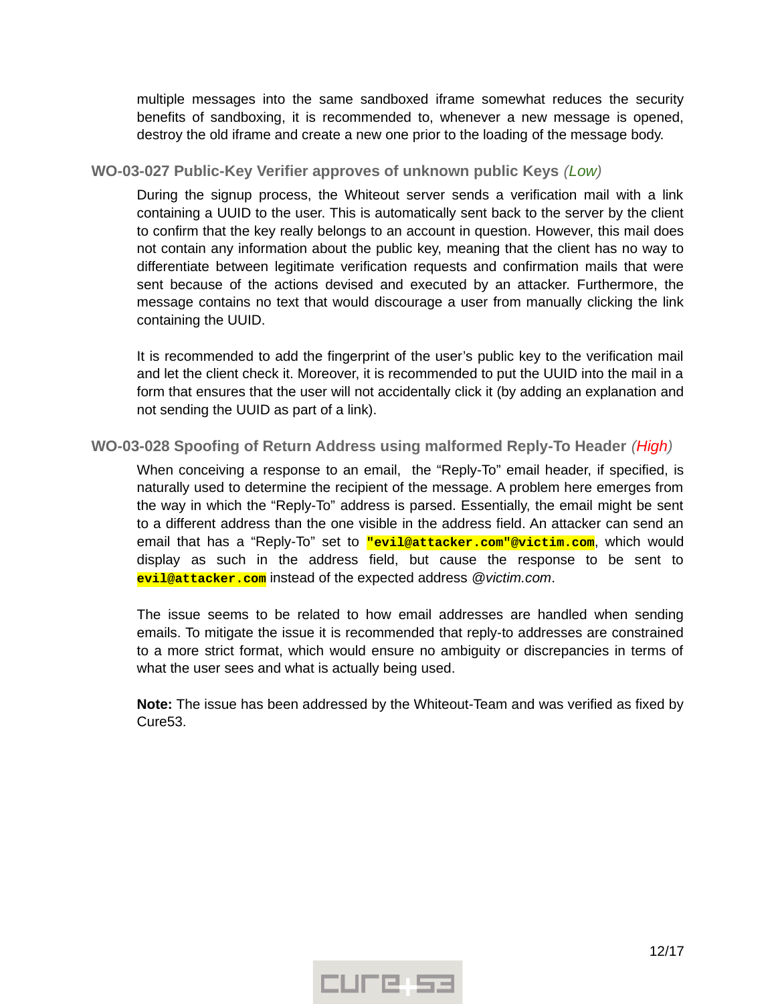multiple messages into the same sandboxed iframe somewhat reduces the security benefits of sandboxing, it is recommended to, whenever a new message is opened, destroy the old iframe and create a new one prior to the loading of the message body.

## <span id="page-11-1"></span>**WO-03-027 Public-Key Verifier approves of unknown public Keys** *(Low)*

During the signup process, the Whiteout server sends a verification mail with a link containing a UUID to the user. This is automatically sent back to the server by the client to confirm that the key really belongs to an account in question. However, this mail does not contain any information about the public key, meaning that the client has no way to differentiate between legitimate verification requests and confirmation mails that were sent because of the actions devised and executed by an attacker. Furthermore, the message contains no text that would discourage a user from manually clicking the link containing the UUID.

It is recommended to add the fingerprint of the user's public key to the verification mail and let the client check it. Moreover, it is recommended to put the UUID into the mail in a form that ensures that the user will not accidentally click it (by adding an explanation and not sending the UUID as part of a link).

## <span id="page-11-0"></span>**WO-03-028 Spoofing of Return Address using malformed Reply-To Header** *(High)*

When conceiving a response to an email, the "Reply-To" email header, if specified, is naturally used to determine the recipient of the message. A problem here emerges from the way in which the "Reply-To" address is parsed. Essentially, the email might be sent to a different address than the one visible in the address field. An attacker can send an email that has a "Reply-To" set to **"evil@attacker.com"@victim.com**, which would display as such in the address field, but cause the response to be sent to **evil@attacker.com** instead of the expected address *@victim.com*.

The issue seems to be related to how email addresses are handled when sending emails. To mitigate the issue it is recommended that reply-to addresses are constrained to a more strict format, which would ensure no ambiguity or discrepancies in terms of what the user sees and what is actually being used.

**Note:** The issue has been addressed by the Whiteout-Team and was verified as fixed by Cure53.

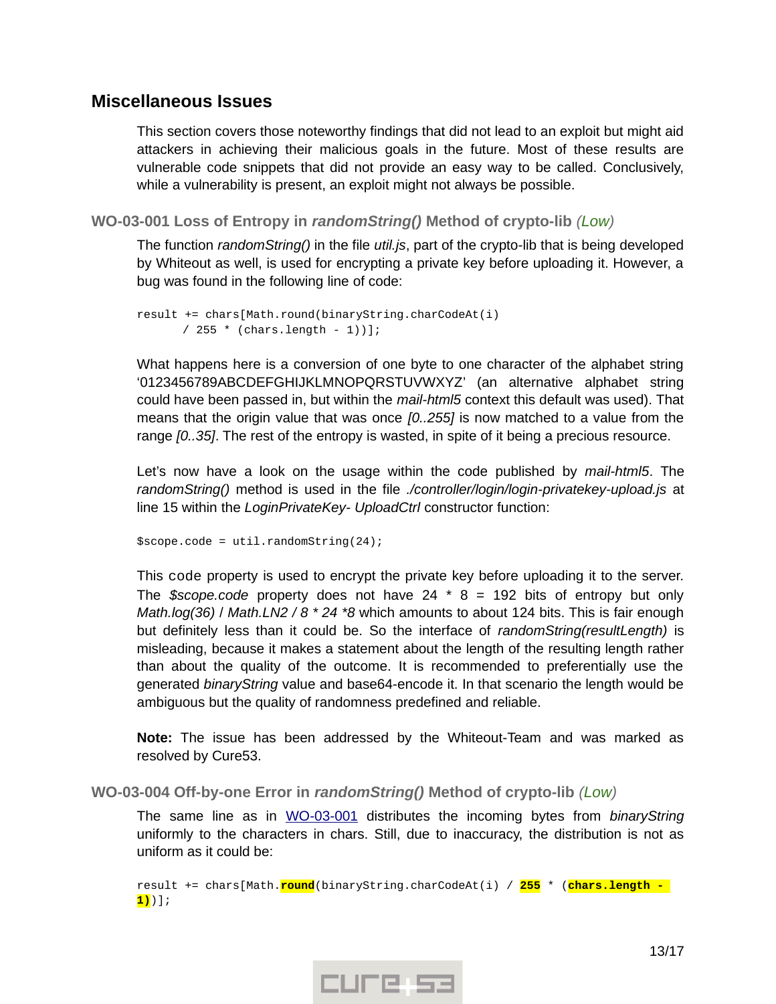# <span id="page-12-2"></span>**Miscellaneous Issues**

This section covers those noteworthy findings that did not lead to an exploit but might aid attackers in achieving their malicious goals in the future. Most of these results are vulnerable code snippets that did not provide an easy way to be called. Conclusively, while a vulnerability is present, an exploit might not always be possible.

<span id="page-12-1"></span>**WO-03-001 Loss of Entropy in** *randomString()* **Method of crypto-lib** *(Low)*

The function *randomString()* in the file *util.js*, part of the crypto-lib that is being developed by Whiteout as well, is used for encrypting a private key before uploading it. However, a bug was found in the following line of code:

```
result += chars[Math.round(binaryString.charCodeAt(i) 
      / 255 * (chars.length - 1))];
```
What happens here is a conversion of one byte to one character of the alphabet string '0123456789ABCDEFGHIJKLMNOPQRSTUVWXYZ' (an alternative alphabet string could have been passed in, but within the *mail-html5* context this default was used). That means that the origin value that was once *[0..255]* is now matched to a value from the range *[0..35]*. The rest of the entropy is wasted, in spite of it being a precious resource.

Let's now have a look on the usage within the code published by *mail-html5*. The *randomString()* method is used in the file *./controller/login/login-privatekey-upload.js* at line 15 within the *LoginPrivateKey- UploadCtrl* constructor function:

```
$scope.code = util.randomString(24);
```
This code property is used to encrypt the private key before uploading it to the server. The *\$scope.code* property does not have 24 \* 8 = 192 bits of entropy but only *Math.log(36)* / *Math.LN2 / 8 \* 24 \*8* which amounts to about 124 bits. This is fair enough but definitely less than it could be. So the interface of *randomString(resultLength)* is misleading, because it makes a statement about the length of the resulting length rather than about the quality of the outcome. It is recommended to preferentially use the generated *binaryString* value and base64-encode it. In that scenario the length would be ambiguous but the quality of randomness predefined and reliable.

**Note:** The issue has been addressed by the Whiteout-Team and was marked as resolved by Cure53.

<span id="page-12-0"></span>**WO-03-004 Off-by-one Error in** *randomString()* **Method of crypto-lib** *(Low)*

The same line as in [WO-03-001](#page-12-1) distributes the incoming bytes from *binaryString* uniformly to the characters in chars. Still, due to inaccuracy, the distribution is not as uniform as it could be:

```
result += chars[Math.round(binaryString.charCodeAt(i) / 255 * (chars.length - 
1))];
```
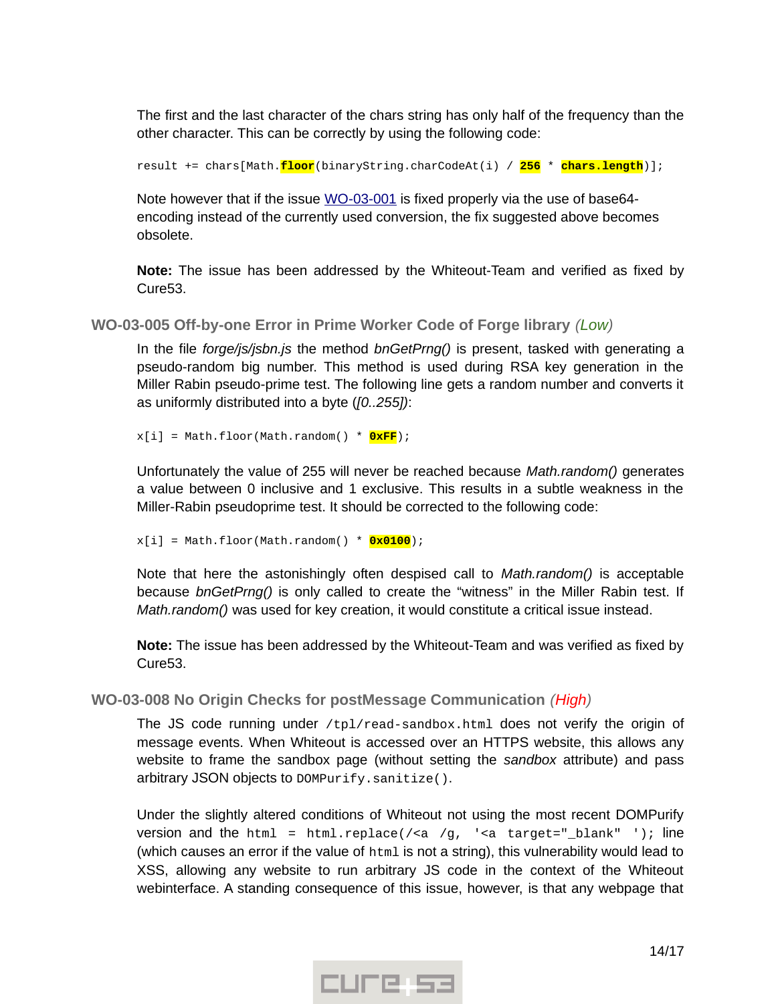The first and the last character of the chars string has only half of the frequency than the other character. This can be correctly by using the following code:

result += chars[Math.**floor**(binaryString.charCodeAt(i) / **256** \* **chars.length**)];

Note however that if the issue [WO-03-001](#page-12-1) is fixed properly via the use of base64encoding instead of the currently used conversion, the fix suggested above becomes obsolete.

**Note:** The issue has been addressed by the Whiteout-Team and verified as fixed by Cure53.

<span id="page-13-1"></span>**WO-03-005 Off-by-one Error in Prime Worker Code of Forge library** *(Low)*

In the file *forge/js/jsbn.js* the method *bnGetPrng()* is present, tasked with generating a pseudo-random big number. This method is used during RSA key generation in the Miller Rabin pseudo-prime test. The following line gets a random number and converts it as uniformly distributed into a byte (*[0..255])*:

 $x[i]$  = Math.floor(Math.random() \*  $QxFF$ );

Unfortunately the value of 255 will never be reached because *Math.random()* generates a value between 0 inclusive and 1 exclusive. This results in a subtle weakness in the Miller-Rabin pseudoprime test. It should be corrected to the following code:

x[i] = Math.floor(Math.random() \* **0x0100**);

Note that here the astonishingly often despised call to *Math.random()* is acceptable because *bnGetPrng()* is only called to create the "witness" in the Miller Rabin test. If *Math.random()* was used for key creation, it would constitute a critical issue instead.

**Note:** The issue has been addressed by the Whiteout-Team and was verified as fixed by Cure53.

<span id="page-13-0"></span>**WO-03-008 No Origin Checks for postMessage Communication** *(High)*

The JS code running under /tpl/read-sandbox.html does not verify the origin of message events. When Whiteout is accessed over an HTTPS website, this allows any website to frame the sandbox page (without setting the *sandbox* attribute) and pass arbitrary JSON objects to DOMPurify.sanitize().

Under the slightly altered conditions of Whiteout not using the most recent DOMPurify version and the html = html.replace(/<a /g, '<a target="\_blank" '); line (which causes an error if the value of html is not a string), this vulnerability would lead to XSS, allowing any website to run arbitrary JS code in the context of the Whiteout webinterface. A standing consequence of this issue, however, is that any webpage that

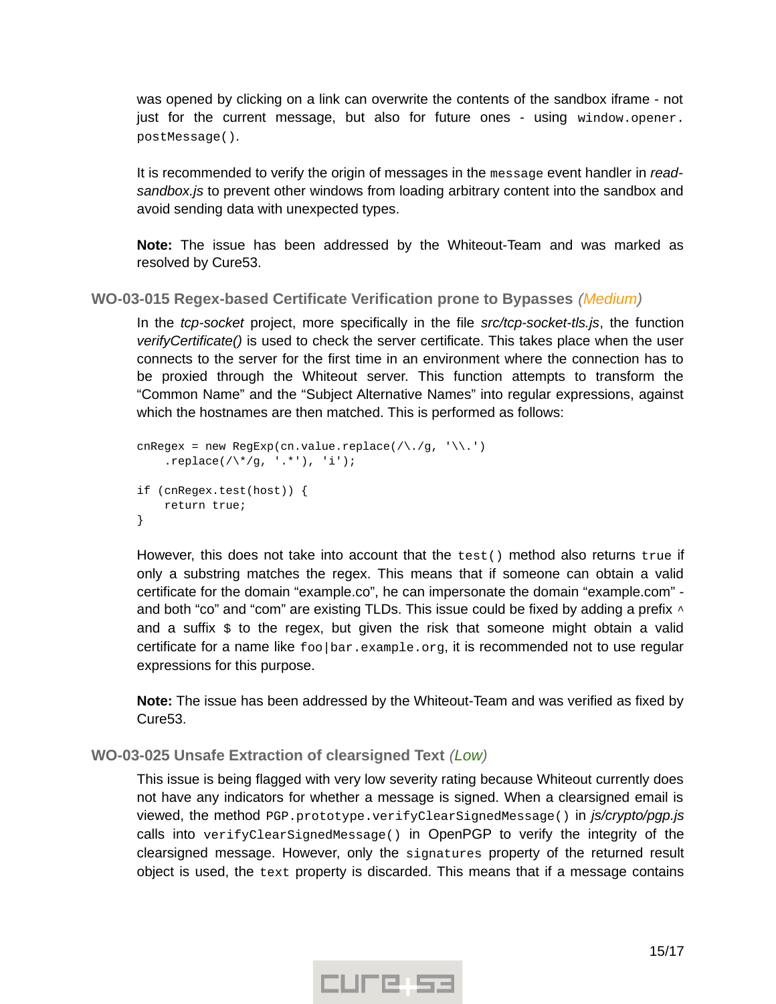was opened by clicking on a link can overwrite the contents of the sandbox iframe - not just for the current message, but also for future ones - using window.opener. postMessage().

It is recommended to verify the origin of messages in the message event handler in *readsandbox.js* to prevent other windows from loading arbitrary content into the sandbox and avoid sending data with unexpected types.

**Note:** The issue has been addressed by the Whiteout-Team and was marked as resolved by Cure53.

<span id="page-14-1"></span>**WO-03-015 Regex-based Certificate Verification prone to Bypasses** *(Medium)*

In the *tcp-socket* project, more specifically in the file *src/tcp-socket-tls.js*, the function *verifyCertificate()* is used to check the server certificate. This takes place when the user connects to the server for the first time in an environment where the connection has to be proxied through the Whiteout server. This function attempts to transform the "Common Name" and the "Subject Alternative Names" into regular expressions, against which the hostnames are then matched. This is performed as follows:

```
cnRegex = new RegExp(cn.value.replace(/\./g, '\\.')
    .replace(/\^*/g, '.*'), 'i');
if (cnRegex.test(host)) {
     return true;
}
```
However, this does not take into account that the test() method also returns true if only a substring matches the regex. This means that if someone can obtain a valid certificate for the domain "example.co", he can impersonate the domain "example.com" and both "co" and "com" are existing TLDs. This issue could be fixed by adding a prefix  $\wedge$ and a suffix \$ to the regex, but given the risk that someone might obtain a valid certificate for a name like foo|bar.example.org, it is recommended not to use regular expressions for this purpose.

**Note:** The issue has been addressed by the Whiteout-Team and was verified as fixed by Cure53.

# <span id="page-14-0"></span>**WO-03-025 Unsafe Extraction of clearsigned Text** *(Low)*

This issue is being flagged with very low severity rating because Whiteout currently does not have any indicators for whether a message is signed. When a clearsigned email is viewed, the method PGP.prototype.verifyClearSignedMessage() in *js/crypto/pgp.js* calls into verifyClearSignedMessage() in OpenPGP to verify the integrity of the clearsigned message. However, only the signatures property of the returned result object is used, the text property is discarded. This means that if a message contains

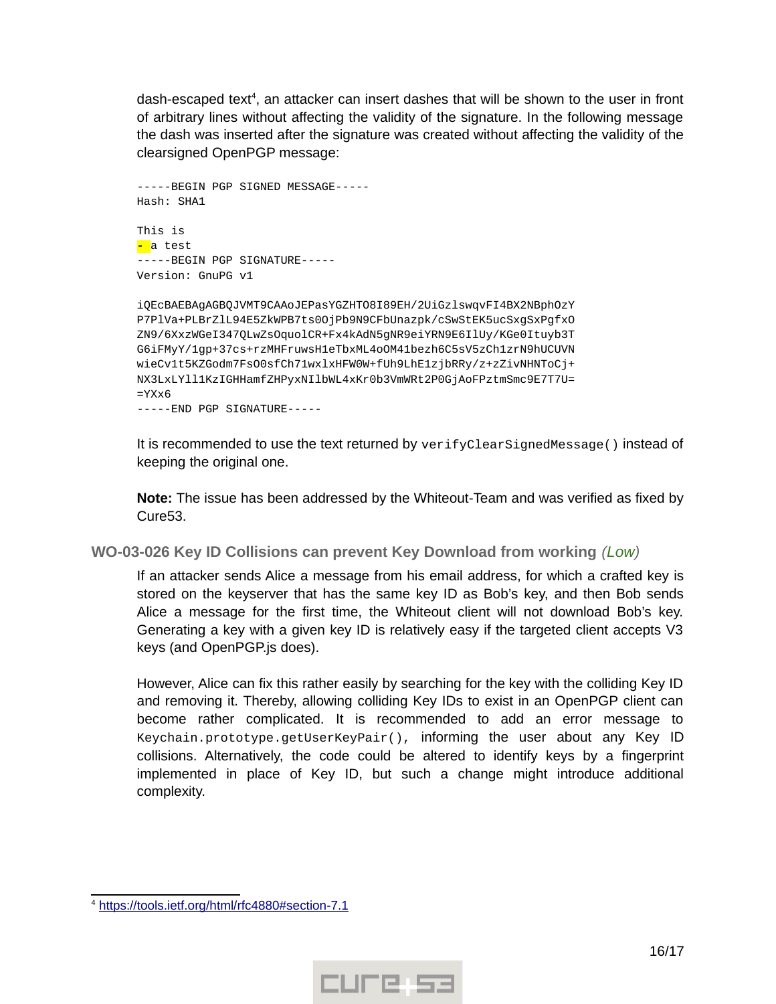dash-escaped text<sup>[4](#page-15-1)</sup>, an attacker can insert dashes that will be shown to the user in front of arbitrary lines without affecting the validity of the signature. In the following message the dash was inserted after the signature was created without affecting the validity of the clearsigned OpenPGP message:

```
-----BEGIN PGP SIGNED MESSAGE-----
Hash: SHA1
This is
- a test
-----BEGIN PGP SIGNATURE-----
Version: GnuPG v1
iQEcBAEBAgAGBQJVMT9CAAoJEPasYGZHTO8I89EH/2UiGzlswqvFI4BX2NBphOzY
P7PlVa+PLBrZlL94E5ZkWPB7ts0OjPb9N9CFbUnazpk/cSwStEK5ucSxgSxPgfxO
ZN9/6XxzWGeI347QLwZsOquolCR+Fx4kAdN5gNR9eiYRN9E6IlUy/KGe0Ituyb3T
G6iFMyY/1gp+37cs+rzMHFruwsH1eTbxML4oOM41bezh6C5sV5zCh1zrN9hUCUVN
wieCv1t5KZGodm7FsO0sfCh71wxlxHFW0W+fUh9LhE1zjbRRy/z+zZivNHNToCj+
NX3LxLYll1KzIGHHamfZHPyxNIlbWL4xKr0b3VmWRt2P0GjAoFPztmSmc9E7T7U=
=YXx6
```
-----END PGP SIGNATURE-----

It is recommended to use the text returned by verifyClearSignedMessage() instead of keeping the original one.

**Note:** The issue has been addressed by the Whiteout-Team and was verified as fixed by Cure53.

<span id="page-15-0"></span>**WO-03-026 Key ID Collisions can prevent Key Download from working** *(Low)*

If an attacker sends Alice a message from his email address, for which a crafted key is stored on the keyserver that has the same key ID as Bob's key, and then Bob sends Alice a message for the first time, the Whiteout client will not download Bob's key. Generating a key with a given key ID is relatively easy if the targeted client accepts V3 keys (and OpenPGP.js does).

However, Alice can fix this rather easily by searching for the key with the colliding Key ID and removing it. Thereby, allowing colliding Key IDs to exist in an OpenPGP client can become rather complicated. It is recommended to add an error message to Keychain.prototype.getUserKeyPair(), informing the user about any Key ID collisions. Alternatively, the code could be altered to identify keys by a fingerprint implemented in place of Key ID, but such a change might introduce additional complexity.



<span id="page-15-1"></span><sup>&</sup>lt;sup>4</sup> https://tools.ietf.org/html/rfc4880#section-7.1